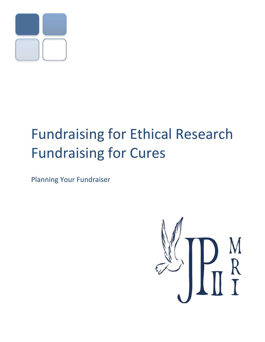

# **Fundraising for Ethical Research Fundraising for Cures**

**Planning Your Fundraiser** 

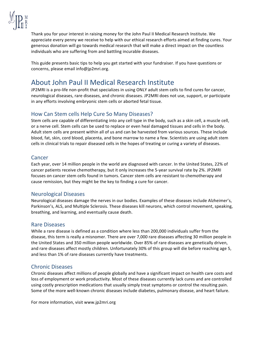

Thank you for your interest in raising money for the John Paul II Medical Research Institute. We appreciate every penny we receive to help with our ethical research efforts aimed at finding cures. Your generous donation will go towards medical research that will make a direct impact on the countless individuals who are suffering from and battling incurable diseases.

This guide presents basic tips to help you get started with your fundraiser. If you have questions or concerns, please email info@jp2mri.org.

## About John Paul II Medical Research Institute

JP2MRI is a pro-life non-profit that specializes in using ONLY adult stem cells to find cures for cancer, neurological diseases, rare diseases, and chronic diseases. JP2MRI does not use, support, or participate in any efforts involving embryonic stem cells or aborted fetal tissue.

#### How Can Stem cells Help Cure So Many Diseases?

Stem cells are capable of differentiating into any cell type in the body, such as a skin cell, a muscle cell, or a nerve cell. Stem cells can be used to replace or even heal damaged tissues and cells in the body. Adult stem cells are present within all of us and can be harvested from various sources. These include blood, fat, skin, cord blood, placenta, and bone marrow to name a few. Scientists are using adult stem cells in clinical trials to repair diseased cells in the hopes of treating or curing a variety of diseases.

#### Cancer

Each year, over 14 million people in the world are diagnosed with cancer. In the United States, 22% of cancer patients receive chemotherapy, but it only increases the 5-year survival rate by 2%. JP2MRI focuses on cancer stem cells found in tumors. Cancer stem cells are resistant to chemotherapy and cause remission, but they might be the key to finding a cure for cancer.

#### **Neurological Diseases**

Neurological diseases damage the nerves in our bodies. Examples of these diseases include Alzheimer's, Parkinson's, ALS, and Multiple Sclerosis. These diseases kill neurons, which control movement, speaking, breathing, and learning, and eventually cause death.

#### **Rare Diseases**

While a rare disease is defined as a condition where less than 200,000 individuals suffer from the disease, this term is really a misnomer. There are over 7,000 rare diseases affecting 30 million people in the United States and 350 million people worldwide. Over 85% of rare diseases are genetically driven, and rare diseases affect mostly children. Unfortunately 30% of this group will die before reaching age 5, and less than 1% of rare diseases currently have treatments.

#### **Chronic Diseases**

Chronic diseases affect millions of people globally and have a significant impact on health care costs and loss of employment or work productivity. Most of these diseases currently lack cures and are controlled using costly prescription medications that usually simply treat symptoms or control the resulting pain. Some of the more well-known chronic diseases include diabetes, pulmonary disease, and heart failure.

For more information, visit www.jp2mri.org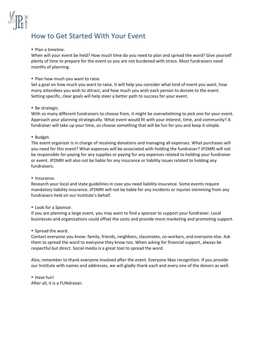

## How to Get Started With Your Event

#### • Plan a timeline.

When will your event be held? How much time do you need to plan and spread the word? Give yourself plenty of time to prepare for the event so you are not burdened with stress. Most fundraisers need months of planning.

#### • Plan how much you want to raise.

Set a goal on how much you want to raise. It will help you consider what kind of event you want, how many attendees you wish to attract, and how much you wish each person to donate to the event. Setting specific, clear goals will help steer a better path to success for your event.

#### • Be strategic.

With so many different fundraisers to choose from, it might be overwhelming to pick one for your event. Approach your planning strategically. What event would fit with your interest, time, and community? A fundraiser will take up your time, so choose something that will be fun for you and keep it simple.

#### • Budget.

The event organizer is in charge of receiving donations and managing all expenses. What purchases will you need for this event? What expenses will be associated with holding the fundraiser? JP2MRI will not be responsible for paying for any supplies or paying for any expenses related to holding your fundraiser or event. JP2MRI will also not be liable for any insurance or liability issues related to holding any fundraisers.

#### • Insurance.

Research your local and state guidelines in case you need liability insurance. Some events require mandatory liability insurance. JP2MRI will not be liable for any incidents or injuries stemming from any fundraisers held on our Institute's behalf.

#### • Look for a Sponsor.

If you are planning a large event, you may want to find a sponsor to support your fundraiser. Local businesses and organizations could offset the costs and provide more marketing and promoting support.

#### • Spread the word.

Contact everyone you know: family, friends, neighbors, classmates, co-workers, and everyone else. Ask them to spread the word to everyone they know too. When asking for financial support, always be respectful but direct. Social media is a great tool to spread the word.

Also, remember to thank everyone involved after the event. Everyone likes recognition. If you provide our Institute with names and addresses, we will gladly thank each and every one of the donors as well.

• Have fun! After all, it is a FUNdraiser.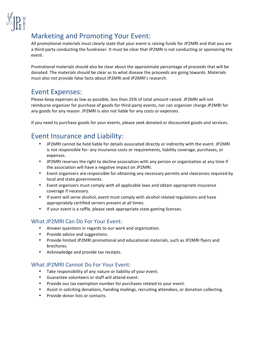

## **Marketing and Promoting Your Event:**

All promotional materials must clearly state that your event is raising funds for JP2MRI and that you are a third-party conducting the fundraiser. It must be clear that JP2MRI is not conducting or sponsoring the event.

Promotional materials should also be clear about the approximate percentage of proceeds that will be donated. The materials should be clear as to what disease the proceeds are going towards. Materials must also not provide false facts about JP2MRI and JP2MRI's research.

### **Event Expenses:**

Please keep expenses as low as possible, less than 25% of total amount raised. JP2MRI will not reimburse organizer for purchase of goods for third-party events, nor can organizer charge JP2MRI for any goods for any reason. JP2MRI is also not liable for any costs or expenses.

If you need to purchase goods for your events, please seek donated or discounted goods and services.

## **Event Insurance and Liability:**

- JP2MRI cannot be held liable for details associated directly or indirectly with the event. JP2MRI is not responsible for: any insurance costs or requirements, liability coverage, purchases, or expenses.
- JP2MRI reserves the right to decline association with any person or organization at any time if the association will have a negative impact on JP2MRI.
- Event organizers are responsible for obtaining any necessary permits and clearances required by local and state governments.
- Event organizers must comply with all applicable laws and obtain appropriate insurance coverage if necessary.
- If event will serve alcohol, event must comply with alcohol related regulations and have appropriately certified servers present at all times.
- If your event is a raffle, please seek appropriate state gaming licenses.

#### **What JP2MRI Can Do For Your Event:**

- Answer questions in regards to our work and organization.
- Provide advice and suggestions.
- Provide limited JP2MRI promotional and educational materials, such as JP2MRI flyers and brochures.
- Acknowledge and provide tax receipts.

#### **What JP2MRI Cannot Do For Your Event:**

- Take responsibility of any nature or liability of your event.
- Guarantee volunteers or staff will attend event.
- Provide our tax exemption number for purchases related to your event.
- Assist in soliciting donations, handing mailings, recruiting attendees, or donation collecting.
- Provide donor lists or contacts.